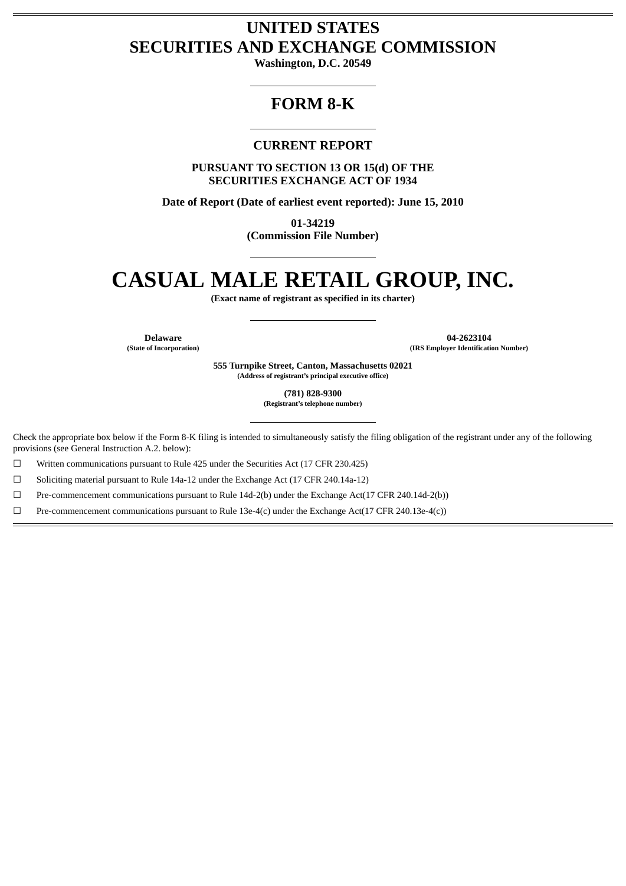## **UNITED STATES SECURITIES AND EXCHANGE COMMISSION**

**Washington, D.C. 20549**

## **FORM 8-K**

### **CURRENT REPORT**

**PURSUANT TO SECTION 13 OR 15(d) OF THE SECURITIES EXCHANGE ACT OF 1934**

**Date of Report (Date of earliest event reported): June 15, 2010**

**01-34219 (Commission File Number)**

# **CASUAL MALE RETAIL GROUP, INC.**

**(Exact name of registrant as specified in its charter)**

**Delaware 04-2623104**<br> **14-2623104**<br> **14-2623104**<br> **14-2623104**<br> **15-2623104 (State of Incorporation) (IRS Employer Identification Number)**

> **555 Turnpike Street, Canton, Massachusetts 02021 (Address of registrant's principal executive office)**

> > **(781) 828-9300 (Registrant's telephone number)**

Check the appropriate box below if the Form 8-K filing is intended to simultaneously satisfy the filing obligation of the registrant under any of the following provisions (see General Instruction A.2. below):

☐ Written communications pursuant to Rule 425 under the Securities Act (17 CFR 230.425)

☐ Soliciting material pursuant to Rule 14a-12 under the Exchange Act (17 CFR 240.14a-12)

☐ Pre-commencement communications pursuant to Rule 14d-2(b) under the Exchange Act(17 CFR 240.14d-2(b))

☐ Pre-commencement communications pursuant to Rule 13e-4(c) under the Exchange Act(17 CFR 240.13e-4(c))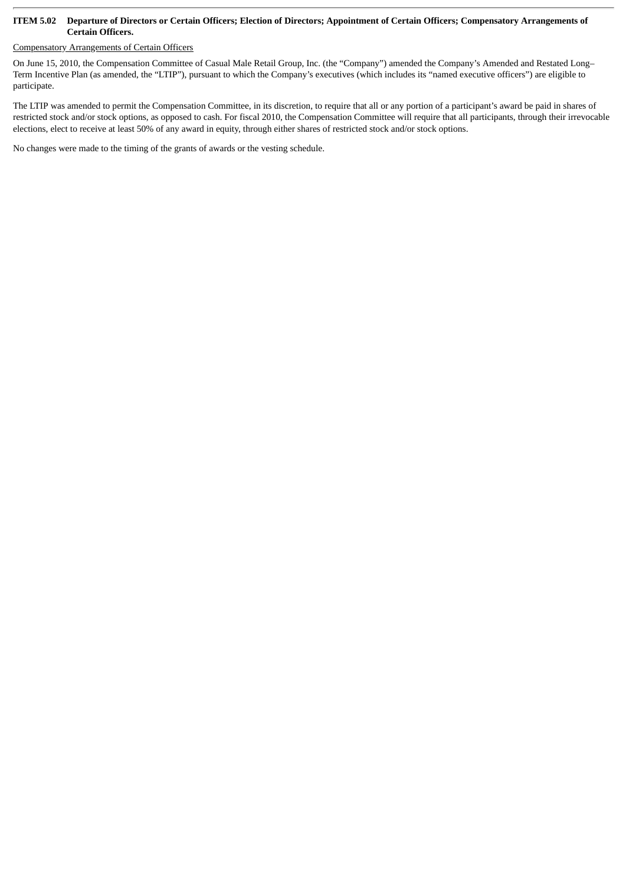#### **ITEM 5.02 Departure of Directors or Certain Officers; Election of Directors; Appointment of Certain Officers; Compensatory Arrangements of Certain Officers.**

### Compensatory Arrangements of Certain Officers

On June 15, 2010, the Compensation Committee of Casual Male Retail Group, Inc. (the "Company") amended the Company's Amended and Restated Long– Term Incentive Plan (as amended, the "LTIP"), pursuant to which the Company's executives (which includes its "named executive officers") are eligible to participate.

The LTIP was amended to permit the Compensation Committee, in its discretion, to require that all or any portion of a participant's award be paid in shares of restricted stock and/or stock options, as opposed to cash. For fiscal 2010, the Compensation Committee will require that all participants, through their irrevocable elections, elect to receive at least 50% of any award in equity, through either shares of restricted stock and/or stock options.

No changes were made to the timing of the grants of awards or the vesting schedule.